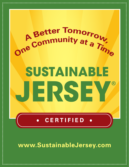

www.SustainableJersey.com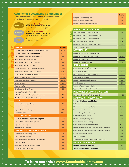# **Actions for Sustainable Communities**

To become Sustainable Jersey Certified, municipalities must complete and document actions from this list.



**BRONZE** Mandatory **Green Team**<br> **2 out of 12 PRIORITY ACTIONS**\* 150 points across 6 of 18 categories.

> **Mandatory Green Team 3 out of 12 PRIORITY ACTIONS\*** 350 points across 8 of 18 categories.

 $\frac{1}{2}$ 

Silver certified communities can earn a  $\star$  in Energy.

|  | <b>ENERGY</b>                                      | <b>Points</b>   |
|--|----------------------------------------------------|-----------------|
|  | <b>Energy Efficiency for Municipal Facilities*</b> | $5 - 50$        |
|  | Energy Tracking & Management*                      | $10 - 20$       |
|  | Buy Electricity from a Renewable Source            | 10              |
|  | Municipal On-Site Solar System                     | $10 - 40$       |
|  | Municipal Geothermal Energy System                 | 1O              |
|  | Municipal Wind Energy System                       | 10              |
|  | Renewable Government Energy Aggregation            | $5 - 50$        |
|  | Commercial Energy Efficiency Outreach              | $10 - 20$       |
|  | Residential Energy Efficiency Outreach             | $10 - 20$       |
|  | Make Your Town Solar Friendly                      | $15 - 30$       |
|  | Community-Led Solar Initiatives                    | $10-15$         |
|  | <b>Wind Ordinance</b>                              | 10              |
|  | <b>Fleet Inventory*</b>                            | 10              |
|  | <b>Meet Target for Green Fleets</b>                | 30              |
|  | <b>Purchase Alternative Fuel Vehicles</b>          | $5 - 15$        |
|  | Public Electric Vehicle Charging Infrastructure    | 15              |
|  | Make Your Town Electric Vehicle Friendly           | 15              |
|  | <b>FOOD</b>                                        |                 |
|  | <b>Farmland Preservation Plans</b>                 | 10              |
|  | <b>Community Garden</b>                            | $10 - 20$       |
|  | Buy Fresh Buy Local® Programs                      | 10              |
|  | <b>Farmers Markets</b>                             | $10-15$         |
|  | <b>LOCAL ECONOMIES</b>                             |                 |
|  | <b>Green Business Recognition Program*</b>         | $10 - 20$       |
|  | Green Jobs/Economic Development                    | 10              |
|  | <b>Buy Local Campaign</b>                          | 10 <sup>°</sup> |
|  | <b>Support Local Businesses</b>                    | 10 <sup>°</sup> |
|  | <b>OPERATIONS AND MAINTENANCE</b>                  |                 |
|  | Adopt a Green Purchasing Policy                    | $5 - 10$        |
|  | <b>Green Cleaning Products</b>                     | 1O              |
|  | <b>Green Maintenance Equipment and Materials</b>   | 10 <sup>°</sup> |
|  | <b>Recycled Paper</b>                              | 10              |
|  | <b>Green Grounds and Maintenance Policy</b>        | 10              |
|  | <b>Efficient Landscape Design</b>                  | 1O              |
|  |                                                    |                 |

|                                          | <b>Points</b> |
|------------------------------------------|---------------|
| <b>Integrated Pest Management</b>        | 10            |
| <b>Minimize Water Consumption</b>        | 10            |
| <b>Recycled Materials and Composting</b> | 10            |

**PLANET**

# **ANIMALS IN THE COMMUNITY** Animals in the Community Education 10 10 10 10 **Companion Animal Management Pledge** 5 and 5 and 5 and 5 and 5 and 5 and 5 and 5 and 5 and 5 and 5 and 5 and 5 and 5 and 5 and 5 and 5 and 5 and 5 and 5 and 5 and 5 and 5 and 5 and 5 and 5 and 5 and 5 and 5 and 5 and 5 and Companion Animal Management Plan 10 10 10 10 10 Enhanced Licensing Compliance 5-10 Pledge Supporting NJ Wildlife Action Plan 10 10 10 Wildlife Interaction Plan 10 and 10 and 10 and 10 and 10 and 10 and 10 and 10 and 10 and 10 and 10 and 10 and 10 **BROWNFIELDS** Brownfields Assessment & Investigation 5-30 Brownfields Inventory & Prioritization 10-15 Brownfields Marketing 10 and 10 and 10 and 10 and 10 and 10 and 10 and 10 and 10 and 10 and 10 and 10 and 10 and 10 and 10 and 10 and 10 and 10 and 10 and 10 and 10 and 10 and 10 and 10 and 10 and 10 and 10 and 10 and 10 a Brownfields Reuse Planning 5-15 **GREEN DESIGN**  Green Building Policy/Resolution 5 and 5 and 5 5 Green Building Training 5 and 5 and 5 and 5 and 5 and 5 and 5 and 5 and 5 and 5 and 5 and 5 and 5 and 5 and 5  $\pm$ Create Green Development Checklist 10 10 10 Green Building Education 5 and 5 and 5 and 5 and 5 and 5 and 5 and 5 and 5 and 5 and 5 and 5 and 5 and 5 and 5 Site Plan Green Design Standards 20 New Construction 20 New Construction 20 Upgrade/Retrofit-Light Pollution 10 10 10 Upgrade/Retrofit-Water Conservation 10 10 10 10 **INNOVATIVE COMMUNITY PROJECTS** Innovative Community Projects (up to 3) 10-30 **LAND USE & TRANSPORTATION Sustainable Land Use Pledge\*** 10 10 Build-Out Analysis 10 and 200 and 200 and 200 and 200 and 200 and 200 and 200 and 200 and 200 and 200 and 200 Bicycle and/or Pedestrian Audit 5-10 and 5-10 Bicycle and/or Pedestrian Plan 10 and 10 and 10 and 10 and 10 and 10 and 10 and 10 and 10 and 10 and 10 and 10 Adopt a Complete Streets Policy 10 and 10 and 10 and 10 and 10 and 10 and 10 and 10 and 10 and 10 and 10 and 10 Institute Complete Streets 10-15 **Effective Parking Management** 10 and 10 and 10 and 10 and 10 and 10 and 10 and 10 and 10 and 10 and 10 and 10 and 10 and 10 and 10 and 10 and 10 and 10 and 10 and 10 and 10 and 10 and 10 and 10 and 10 and 10 and 10 and 10 Green Infrastructure Planning 5-20 Green Infrastructure Implementation 10-20 and 10-20 Enhanced Stormwater Management Control Ordinance 10-30 Green Building & Environmental Sustainability Element 10 Historic Preservation Element 10 and 10 and 10 and 10 and 10 and 10 and 10 and 10 and 10 and 10 and 10 and 10 Smart Workplaces **5-10** Smart Workplaces Transit Oriented Development Supportive Zoning 20 **NATURAL RESOURCES Natural Resource Inventory\*** 20 **Water Conservation Ordinance\* 20 Mater Conservation Ordinance\***

**To learn more visit www.SustainableJersey.com**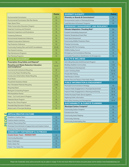|                                                                   | <b>Points</b> |
|-------------------------------------------------------------------|---------------|
| <b>Environmental Commission</b>                                   | 10            |
| <b>Environmental Commission Site Plan Review</b>                  | 10            |
| <b>Open Space Plans</b>                                           | 10            |
| <b>Water Conservation Education Program</b>                       | 10            |
| Easement Inventory and Outreach                                   | 10            |
| <b>Easement Inspections and Evaluations</b>                       | 15            |
| <b>Clustering Ordinance</b>                                       | 10            |
| Environmental Assessment Ordinance                                | 10            |
| <b>Habitat Conservation Ordinance</b>                             | 10            |
| <b>Tree Protection Ordinance</b>                                  | 10            |
| Community Forestry Plan and NJUCF Accreditation                   | $10 - 20$     |
| <b>Tree Hazard Inventory</b>                                      | 10            |
| <b>Tree Maintenance Programs</b>                                  | 10            |
| <b>Tree Planting Programs</b>                                     | 10            |
| <b>WASTE MANAGEMENT</b>                                           |               |
| <b>Prescription Drug Safety and Disposal*</b>                     | 10            |
| <b>Recycling and Waste Reduction Education</b><br>and Compliance* | $15 - 20$     |
| Commercial & Institutional Recycling                              | 10            |
| Community Paper Shredding Day                                     | 5             |
| <b>Construction &amp; Demolition Waste Recycling</b>              | $5 - 15$      |
| <b>Food Waste</b>                                                 | 10            |
| Household Hazardous Waste                                         | $5 - 15$      |
| Non-Mandated Materials Recycling                                  | $5 - 60$      |
| Recycling Depot                                                   | 10            |
| Backyard Composting Program                                       | 5             |
| <b>EPA WasteWise Partner</b>                                      | 5             |
| Grass - Cut It and Leave It Program                               | 5             |
| Materials Reuse Program                                           | 10            |
| Pay-As-You-Throw Program                                          | 10            |
|                                                                   |               |
| Reusable Bag Education Program                                    | 5             |

| <b>ARTS &amp; CREATIVE CULTURE</b>                         |           |
|------------------------------------------------------------|-----------|
| Establish a Creative Team                                  | 10        |
| <b>Creative Assets Inventory</b>                           | 10        |
| Creative Placemaking Plan                                  | 10        |
| Municipal Commitments to Support Arts and Creative Culture | $5 - 25$  |
| Utilizing Your Creative Assets                             | $10 - 30$ |
|                                                            |           |
| <b>COMMUNITY PARTNERSHIP &amp; OUTREACH</b>                |           |
| <b>Create Green Team - MANDATORY</b>                       | 1O        |
| <b>Community Education</b>                                 | $5 - 20$  |
| Green Challenges                                           | 1O        |
| Hold a Green Fair                                          | 10        |

| <b>Points</b>   | <b>DIVERSITY &amp; EQUITY</b>                         | Points           |
|-----------------|-------------------------------------------------------|------------------|
| 10              | Diversity on Boards & Commissions*                    | 10               |
| 10 <sup>°</sup> | Environmental Justice in Planning & Zoning            | 1O               |
| 10              | Lead Education & Outreach Programs                    | 1O               |
| 10              | <b>EMERGENCY MANAGEMENT AND RESILIENCY</b>            |                  |
| 10              | <b>Climate Adaptation: Flooding Risk*</b>             | 20               |
| 15              | <b>Coastal Vulnerability Assessment</b>               | 20               |
| 10              | Extreme Temperature Event Plan                        | 10               |
| 10              | <b>Heat Island Assessment</b>                         | 10               |
| 10              | <b>Community Wildfire Protection Plans</b>            | 10 <sup>10</sup> |
| 10              | <b>Firewise Community</b>                             | $5 - 15$         |
| $10 - 20$       | Ready Set GO! Fire Company                            | $5 - 15$         |
| 10              | <b>Wildfire Safety Council</b>                        | 10 <sup>10</sup> |
| 10              | <b>Emergency Communications Planning</b>              | 15               |
| 10              | Vulnerable Populations Identification for Emergencies | 10               |
|                 | <b>HEALTH &amp; WELLNESS</b>                          |                  |
| 10              | Anti-Idling Education & Enforcement Program           | 10               |
| $15 - 20$       | <b>Building Healthier Communities</b>                 | $5 - 25$         |
|                 | <b>HIA Professional Development</b>                   | 10 <sup>10</sup> |
| 10              | Lead in Drinking Water                                | $10 - 40$        |
| 5               | <b>Private Well Testing</b>                           | $10-15$          |
| $5 - 15$        | Safe Routes to School                                 | 10               |
| 10 <sup>°</sup> | Smoke-Free and Tobacco-Free Public Places             | 1O               |
| $5-15$          | <b>PUBLIC INFORMATION &amp; ENGAGEMENT</b>            |                  |
| 5-60            | <b>Municipal Communications Strategy</b>              | 1O               |
| 10              | Improve Public Engagement in Municipal Government     | $10-15$          |
| 5               | Improve Public Engagement in Planning and Zoning      | $10-15$          |
| 5               | <b>Online Municipal Public Service Systems</b>        | $10-15$          |
| 5               | <b>Digitizing Public Information</b>                  | 10 <sup>10</sup> |
| 10              | Open Data Inventory and Management                    | $10 - 15$        |
| 10              | <b>SUSTAINABILITY &amp; CLIMATE PLANNING</b>          |                  |
| 5               | <b>Municipal Carbon Footprint*</b>                    | 10               |
| 10              | <b>Community Carbon Footprint</b>                     | 10               |
|                 | <b>Climate Action Plan</b>                            | 10               |
|                 | <b>Community Asset Mapping</b>                        | 10               |
| 10              | <b>Community Visioning</b>                            | 10               |
| 10              | <b>Community Sustainability Plan</b>                  | $5 - 25$         |

Please note: Sustainable Jersey actions and points may be subject to change. For the most recent official list of actions and points please visit the website at www.SustainableJersey.com

**PEOPLE**